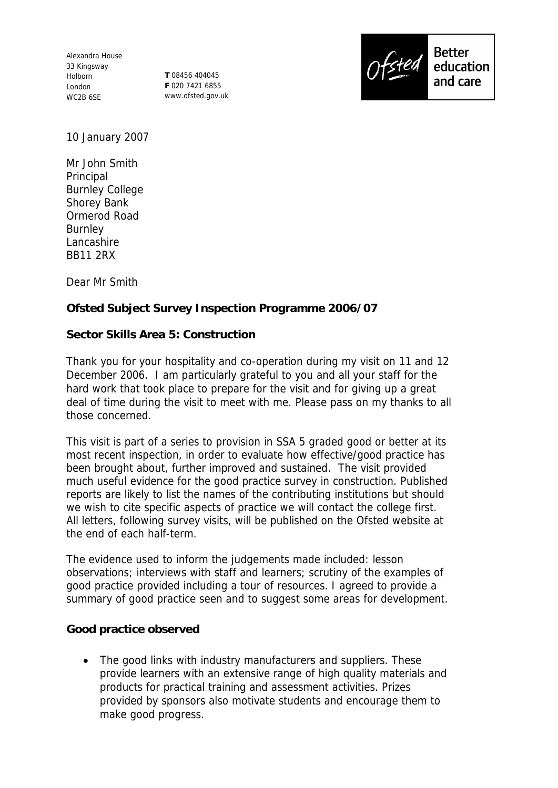Alexandra House 33 Kingsway Holborn London WC2B 6SE

**T** 08456 404045 **F** 020 7421 6855 www.ofsted.gov.uk



10 January 2007

Mr John Smith Principal Burnley College Shorey Bank Ormerod Road Burnley Lancashire BB11 2RX

Dear Mr Smith

**Ofsted Subject Survey Inspection Programme 2006/07**

**Sector Skills Area 5: Construction**

Thank you for your hospitality and co-operation during my visit on 11 and 12 December 2006. I am particularly grateful to you and all your staff for the hard work that took place to prepare for the visit and for giving up a great deal of time during the visit to meet with me. Please pass on my thanks to all those concerned.

This visit is part of a series to provision in SSA 5 graded good or better at its most recent inspection, in order to evaluate how effective/good practice has been brought about, further improved and sustained. The visit provided much useful evidence for the good practice survey in construction. Published reports are likely to list the names of the contributing institutions but should we wish to cite specific aspects of practice we will contact the college first. All letters, following survey visits, will be published on the Ofsted website at the end of each half-term.

The evidence used to inform the judgements made included: lesson observations; interviews with staff and learners; scrutiny of the examples of good practice provided including a tour of resources. I agreed to provide a summary of good practice seen and to suggest some areas for development.

**Good practice observed** 

• The good links with industry manufacturers and suppliers. These provide learners with an extensive range of high quality materials and products for practical training and assessment activities. Prizes provided by sponsors also motivate students and encourage them to make good progress.